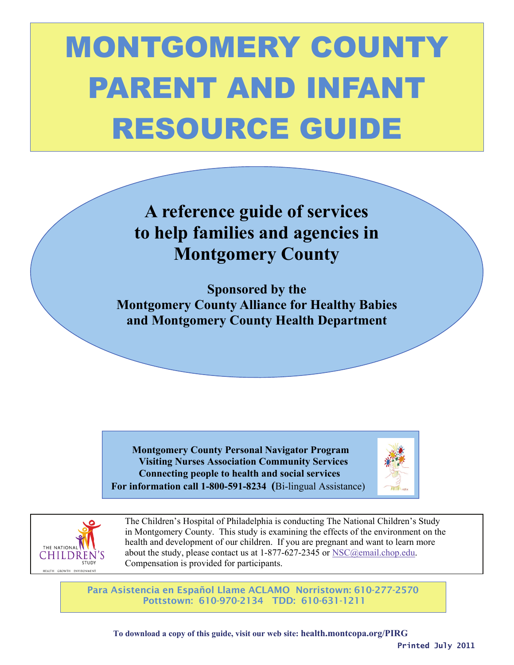# MONTGOMERY COUNTY PARENT AND INFANT RESOURCE GUIDE

## **A reference guide of services to help families and agencies in Montgomery County**

**Sponsored by the Montgomery County Alliance for Healthy Babies and Montgomery County Health Department** 

 **Montgomery County Personal Navigator Program Visiting Nurses Association Community Services Connecting people to health and social services For information call 1-800-591-8234 (**Bi-lingual Assistance)





The Children's Hospital of Philadelphia is conducting The National Children's Study in Montgomery County. This study is examining the effects of the environment on the THE NATIONAL **NATIONAL REALTER WALES** health and development of our children. If you are pregnant and want to learn more CHILDREN'S about the study, please contact us at 1-877-627-2345 or [NSC@email.chop.edu.](mailto:NSC@email.chop.edu) Compensation is provided for participants.

> Para Asistencia en Español Llame ACLAMO Norristown: 610-277-2570 Pottstown: 610-970-2134 TDD: 610-631-1211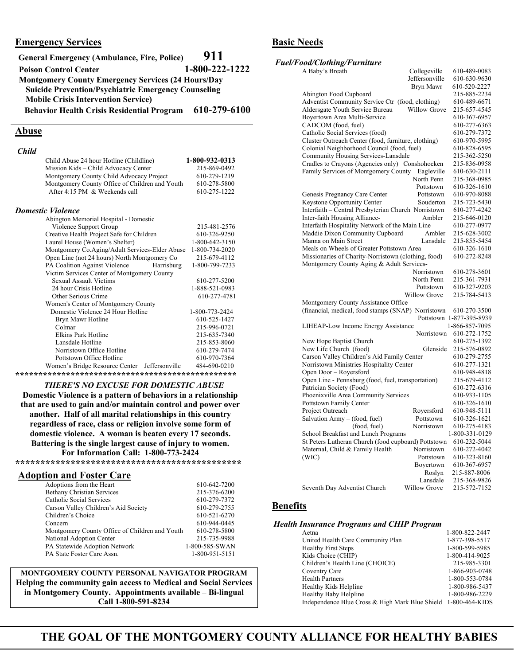#### **Emergency Services**

| <b>General Emergency (Ambulance, Fire, Police)</b>         | 911            |
|------------------------------------------------------------|----------------|
| <b>Poison Control Center</b>                               | 1-800-222-1222 |
| <b>Montgomery County Emergency Services (24 Hours/Day</b>  |                |
| <b>Suicide Prevention/Psychiatric Emergency Counseling</b> |                |
| <b>Mobile Crisis Intervention Service)</b>                 |                |
| <b>Behavior Health Crisis Residential Program</b>          | 610-279-6100   |

#### **Abuse**

| <b>Child</b> |                                                |                |
|--------------|------------------------------------------------|----------------|
|              | Child Abuse 24 hour Hotline (Childline)        | 1-800-932-0313 |
|              | Mission Kids – Child Advocacy Center           | 215-869-0492   |
|              | Montgomery County Child Advocacy Project       | 610-279-1219   |
|              | Montgomery County Office of Children and Youth | 610-278-5800   |
|              | After 4:15 PM & Weekends call                  | 610-275-1222   |
|              | Domestic Violence                              |                |
|              | Abington Memorial Hospital - Domestic          |                |
|              | Violence Support Group                         | 215-481-2576   |
|              | Creative Health Project Safe for Children      | 610-326-9250   |
|              | Laurel House (Women's Shelter)                 | 1-800-642-3150 |
|              | Montgomery Co.Aging/Adult Services-Elder Abuse | 1-800-734-2020 |
|              | Open Line (not 24 hours) North Montgomery Co   | 215-679-4112   |
|              | PA Coalition Against Violence<br>Harrisburg    | 1-800-799-7233 |
|              | Victim Services Center of Montgomery County    |                |
|              | Sexual Assault Victims                         | 610-277-5200   |
|              | 24 hour Crisis Hotline                         | 1-888-521-0983 |
|              | Other Serious Crime                            | 610-277-4781   |
|              | Women's Center of Montgomery County            |                |
|              | Domestic Violence 24 Hour Hotline              | 1-800-773-2424 |
|              | Brvn Mawr Hotline                              | 610-525-1427   |

| Women's Center of Montgomery County           |                |
|-----------------------------------------------|----------------|
| Domestic Violence 24 Hour Hotline             | 1-800-773-2424 |
| Bryn Mawr Hotline                             | 610-525-1427   |
| Colmar                                        | 215-996-0721   |
| Elkins Park Hotline                           | 215-635-7340   |
| Lansdale Hotline                              | 215-853-8060   |
| Norristown Office Hotline                     | 610-279-7474   |
| Pottstown Office Hotline                      | 610-970-7364   |
| Women's Bridge Resource Center Jeffersonville | 484-690-0210   |
|                                               |                |

#### *THERE'S NO EXCUSE FOR DOMESTIC ABUSE*

**Domestic Violence is a pattern of behaviors in a relationship that are used to gain and/or maintain control and power over another. Half of all marital relationships in this country regardless of race, class or religion involve some form of domestic violence. A woman is beaten every 17 seconds. Battering is the single largest cause of injury to women. For Information Call: 1-800-773-2424** 

**\*\*\*\*\*\*\*\*\*\*\*\*\*\*\*\*\*\*\*\*\*\*\*\*\*\*\*\*\*\*\*\*\*\*\*\*\*\*\*\*\*\*\*\*\*** 

#### **Adoption and Foster Care**

| Adoptions from the Heart                       | 610-642-7200   |
|------------------------------------------------|----------------|
| <b>Bethany Christian Services</b>              | 215-376-6200   |
| Catholic Social Services                       | 610-279-7372   |
| Carson Valley Children's Aid Society           | 610-279-2755   |
| Children's Choice                              | 610-521-6270   |
| Concern                                        | 610-944-0445   |
| Montgomery County Office of Children and Youth | 610-278-5800   |
| National Adoption Center                       | 215-735-9988   |
| PA Statewide Adoption Network                  | 1-800-585-SWAN |
| PA State Foster Care Assn.                     | 1-800-951-5151 |
|                                                |                |

#### **MONTGOMERY COUNTY PERSONAL NAVIGATOR PROGRAM Helping the community gain access to Medical and Social Services in Montgomery County. Appointments available – Bi-lingual Call 1-800-591-8234**

#### **Basic Needs**

#### *Fuel/Food/Clothing/Furniture*

| A Baby's Breath                                     | Collegeville        | 610-489-0083             |
|-----------------------------------------------------|---------------------|--------------------------|
|                                                     | Jeffersonville      | 610-630-9630             |
|                                                     | Bryn Mawr           | 610-520-2227             |
| Abington Food Cupboard                              |                     | 215-885-2234             |
| Adventist Community Service Ctr (food, clothing)    |                     | 610-489-6671             |
| Aldersgate Youth Service Bureau                     | Willow Grove        | 215-657-4545             |
| Boyertown Area Multi-Service                        |                     | 610-367-6957             |
| CADCOM (food, fuel)                                 |                     | 610-277-6363             |
| Catholic Social Services (food)                     |                     | 610-279-7372             |
| Cluster Outreach Center (food, furniture, clothing) |                     | 610-970-5995             |
| Colonial Neighborhood Council (food, fuel)          |                     | 610-828-6595             |
| Community Housing Services-Lansdale                 |                     | 215-362-5250             |
| Cradles to Crayons (Agencies only) Conshohocken     |                     | 215-836-0958             |
| Family Services of Montgomery County                | Eagleville          | 610-630-2111             |
|                                                     | North Penn          | 215-368-0985             |
|                                                     | Pottstown           | 610-326-1610             |
| Genesis Pregnancy Care Center                       | Pottstown           | 610-970-8088             |
| <b>Keystone Opportunity Center</b>                  | Souderton           | 215-723-5430             |
| Interfaith - Central Presbyterian Church Norristown |                     | 610-277-4242             |
|                                                     | Ambler              | 215-646-0120             |
| Inter-faith Housing Alliance-                       |                     |                          |
| Interfaith Hospitality Network of the Main Line     |                     | 610-277-0977             |
| Maddie Dixon Community Cupboard                     | Ambler              | 215-628-3002             |
| Manna on Main Street                                | Lansdale            | 215-855-5454             |
| Meals on Wheels of Greater Pottstown Area           |                     | 610-326-1610             |
| Missionaries of Charity-Norristown (clothing, food) |                     | 610-272-8248             |
| Montgomery County Aging & Adult Services-           |                     |                          |
|                                                     | Norristown          | 610-278-3601             |
|                                                     | North Penn          | 215-361-7931             |
|                                                     | Pottstown           | 610-327-9203             |
|                                                     | <b>Willow Grove</b> | 215-784-5413             |
| Montgomery County Assistance Office                 |                     |                          |
| (financial, medical, food stamps (SNAP) Norristown  |                     | 610-270-3500             |
|                                                     |                     | Pottstown 1-877-395-8939 |
| LIHEAP-Low Income Energy Assistance                 |                     | 1-866-857-7095           |
|                                                     | Norristown          | 610-272-1752             |
| New Hope Baptist Church                             |                     | 610-275-1392             |
| New Life Church (food)                              | Glenside            | 215-576-0892             |
| Carson Valley Children's Aid Family Center          |                     | 610-279-2755             |
| Norristown Ministries Hospitality Center            |                     | 610-277-1321             |
| Open Door – Royersford                              |                     | 610-948-4818             |
| Open Line - Pennsburg (food, fuel, transportation)  |                     | 215-679-4112             |
| Patrician Society (Food)                            |                     | 610-272-6316             |
| Phoenixville Area Community Services                |                     | 610-933-1105             |
| Pottstown Family Center                             |                     | 610-326-1610             |
| Project Outreach                                    | Royersford          | 610-948-5111             |
| Salvation Army – (food, fuel)                       | Pottstown           | 610-326-1621             |
| (food, fuel)                                        | Norristown          | 610-275-4183             |
| School Breakfast and Lunch Programs                 |                     | 1-800-331-0129           |
| St Peters Lutheran Church (food cupboard) Pottstown |                     | 610-232-5044             |
| Maternal, Child & Family Health                     | Norristown          | 610-272-4042             |
|                                                     |                     |                          |
| (WIC)                                               | Pottstown           | 610-323-8160             |
|                                                     | Boyertown           | 610-367-6957             |
|                                                     | Roslyn              | 215-887-8006             |
|                                                     | Lansdale            | 215-368-9826             |
| Seventh Day Adventist Church                        | <b>Willow Grove</b> | 215-572-7152             |

#### **Benefits**

#### *Health Insurance Programs and CHIP Program*

| $1100000$ $10000$ $1000$ $1000$ $1000$ $000$ $000$ $000$ $000$ $000$ |                |
|----------------------------------------------------------------------|----------------|
| Aetna                                                                | 1-800-822-2447 |
| United Health Care Community Plan                                    | 1-877-398-5517 |
| <b>Healthy First Steps</b>                                           | 1-800-599-5985 |
| Kids Choice (CHIP)                                                   | 1-800-414-9025 |
| Children's Health Line (CHOICE)                                      | 215-985-3301   |
| Coventry Care                                                        | 1-866-903-0748 |
| <b>Health Partners</b>                                               | 1-800-553-0784 |
| Healthy Kids Helpline                                                | 1-800-986-5437 |
| <b>Healthy Baby Helpline</b>                                         | 1-800-986-2229 |
| Independence Blue Cross & High Mark Blue Shield 1-800-464-KIDS       |                |
|                                                                      |                |

## 1  **THE GOAL OF THE MONTGOMERY COUNTY ALLIANCE FOR HEALTHY BABIES**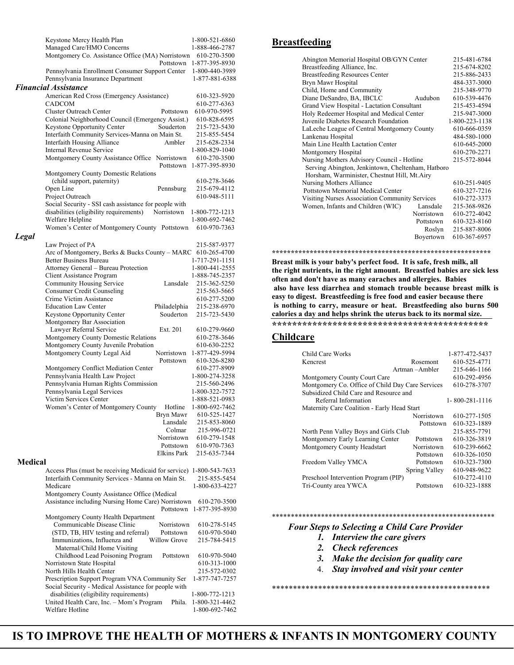|                | Keystone Mercy Health Plan                                                                                | 1-800-521-6860                   |
|----------------|-----------------------------------------------------------------------------------------------------------|----------------------------------|
|                | Managed Care/HMO Concerns<br>Montgomery Co. Assistance Office (MA) Norristown                             | 1-888-466-2787                   |
|                | Pottstown                                                                                                 | 610-270-3500<br>1-877-395-8930   |
|                | Pennsylvania Enrollment Consumer Support Center                                                           | 1-800-440-3989                   |
|                | Pennsylvania Insurance Department                                                                         | 1-877-881-6388                   |
|                | <b>Financial Assistance</b>                                                                               |                                  |
|                | American Red Cross (Emergency Assistance)<br><b>CADCOM</b>                                                | 610-323-5920<br>610-277-6363     |
|                | Cluster Outreach Center<br>Pottstown                                                                      | 610-970-5995                     |
|                | Colonial Neighborhood Council (Emergency Assist.)                                                         | 610-828-6595                     |
|                | Keystone Opportunity Center<br>Souderton                                                                  | 215-723-5430                     |
|                | Interfaith Community Services-Manna on Main St.                                                           | 215-855-5454                     |
|                | Interfaith Housing Alliance<br>Ambler                                                                     | 215-628-2334                     |
|                | Internal Revenue Service<br>Montgomery County Assistance Office Norristown                                | 1-800-829-1040<br>610-270-3500   |
|                | Pottstown                                                                                                 | 1-877-395-8930                   |
|                | Montgomery County Domestic Relations                                                                      |                                  |
|                | (child support, paternity)                                                                                | 610-278-3646                     |
|                | Open Line<br>Pennsburg                                                                                    | 215-679-4112                     |
|                | Project Outreach<br>Social Security - SSI cash assistance for people with                                 | 610-948-5111                     |
|                | disabilities (eligibility requirements)<br>Norristown                                                     | 1-800-772-1213                   |
|                | Welfare Helpline                                                                                          | 1-800-692-7462                   |
|                | Women's Center of Montgomery County Pottstown                                                             | 610-970-7363                     |
| Legal          |                                                                                                           |                                  |
|                | Law Project of PA                                                                                         | 215-587-9377                     |
|                | Arc of Montgomery, Berks & Bucks County - MARC<br><b>Better Business Bureau</b>                           | 610-265-4700                     |
|                | Attorney General - Bureau Protection                                                                      | 1-717-291-1151<br>1-800-441-2555 |
|                | Client Assistance Program                                                                                 | 1-888-745-2357                   |
|                | Community Housing Service<br>Lansdale                                                                     | 215-362-5250                     |
|                | Consumer Credit Counseling                                                                                | 215-563-5665                     |
|                | Crime Victim Assistance                                                                                   | 610-277-5200                     |
|                | <b>Education Law Center</b><br>Philadelphia<br>Keystone Opportunity Center<br>Souderton                   | 215-238-6970<br>215-723-5430     |
|                | Montgomery Bar Association                                                                                |                                  |
|                | Lawyer Referral Service<br>Ext. 201                                                                       | 610-279-9660                     |
|                | Montgomery County Domestic Relations                                                                      | 610-278-3646                     |
|                | Montgomery County Juvenile Probation                                                                      | 610-630-2252                     |
|                | Montgomery County Legal Aid<br>Norristown                                                                 | 1-877-429-5994                   |
|                | Pottstown                                                                                                 | 610-326-8280<br>610-277-8909     |
|                | Montgomery Conflict Mediation Center<br>Pennsylvania Health Law Project                                   | 1-800-274-3258                   |
|                | Pennsylvania Human Rights Commission                                                                      | 215-560-2496                     |
|                | Pennsylvania Legal Services                                                                               | 1-800-322-7572                   |
|                | Victim Services Center                                                                                    | 1-888-521-0983                   |
|                | Women's Center of Montgomery County<br>Hotline                                                            | 1-800-692-7462                   |
|                | Bryn Mawr<br>Lansdale                                                                                     | 610-525-1427<br>215-853-8060     |
|                | Colmar                                                                                                    | 215-996-0721                     |
|                | Norristown                                                                                                | 610-279-1548                     |
|                | Pottstown                                                                                                 | 610-970-7363                     |
|                | Elkins Park                                                                                               | 215-635-7344                     |
| <b>Medical</b> |                                                                                                           |                                  |
|                | Access Plus (must be receiving Medicaid for service)<br>Interfaith Community Services - Manna on Main St. | 1-800-543-7633<br>215-855-5454   |
|                | Medicare                                                                                                  | 1-800-633-4227                   |
|                | Montgomery County Assistance Office (Medical                                                              |                                  |
|                | Assistance including Nursing Home Care) Norristown                                                        | 610-270-3500                     |
|                | Pottstown                                                                                                 | 1-877-395-8930                   |
|                | Montgomery County Health Department<br>Communicable Disease Clinic<br>Norristown                          | 610-278-5145                     |
|                | (STD, TB, HIV testing and referral)<br>Pottstown                                                          | 610-970-5040                     |
|                | Immunizations, Influenza and<br>Willow Grove                                                              | 215-784-5415                     |
|                | Maternal/Child Home Visiting                                                                              |                                  |
|                | Childhood Lead Poisoning Program<br>Pottstown                                                             | 610-970-5040                     |
|                | Norristown State Hospital                                                                                 | 610-313-1000                     |
|                | North Hills Health Center<br>Prescription Support Program VNA Community Ser                               | 215-572-0302<br>1-877-747-7257   |
|                | Social Security - Medical Assistance for people with                                                      |                                  |
|                | disabilities (eligibility requirements)                                                                   | 1-800-772-1213                   |
|                | United Health Care, Inc. - Mom's Program<br>Phila.                                                        | 1-800-321-4462                   |
|                | Welfare Hotline                                                                                           | 1-800-692-7462                   |

#### **Breastfeeding**

| Abington Memorial Hospital OB/GYN Center              | 215-481-6784   |
|-------------------------------------------------------|----------------|
| Breastfeeding Alliance, Inc.                          | 215-674-8202   |
| <b>Breastfeeding Resources Center</b>                 | 215-886-2433   |
| Bryn Mawr Hospital                                    | 484-337-3000   |
| Child, Home and Community                             | 215-348-9770   |
| Diane DeSandro, BA, IBCLC<br>Audubon                  | 610-539-4476   |
| Grand View Hospital - Lactation Consultant            | 215-453-4594   |
| Holy Redeemer Hospital and Medical Center             | 215-947-3000   |
| Juvenile Diabetes Research Foundation                 | 1-800-223-1138 |
| LaLeche League of Central Montgomery County           | 610-666-0359   |
| Lankenau Hospital                                     | 484-580-1000   |
| Main Line Health Lactation Center                     | 610-645-2000   |
| Montgomery Hospital                                   | 610-270-2271   |
| Nursing Mothers Advisory Council - Hotline            | 215-572-8044   |
| Serving Abington, Jenkintown, Cheltenham, Hatboro     |                |
| Horsham, Warminister, Chestnut Hill, Mt.Airy          |                |
| Nursing Mothers Alliance                              | 610-251-9405   |
| Pottstown Memorial Medical Center                     | 610-327-7216   |
| <b>Visiting Nurses Association Community Services</b> | 610-272-3373   |
| Women, Infants and Children (WIC)<br>Lansdale         | 215-368-9826   |
| Norristown                                            | 610-272-4042   |
| Pottstown                                             | 610-323-8160   |
| Roslyn                                                | 215-887-8006   |
| Boyertown                                             | 610-367-6957   |
|                                                       |                |

**\*\*\*\*\*\*\*\*\*\*\*\*\*\*\*\*\*\*\*\*\*\*\*\*\*\*\*\*\*\*\*\*\*\*\*\*\*\*\*\*\*\*\*\*\*\*\*\*\*\*\*\*\*\*\*\*\*\*** 

**Breast milk is your baby's perfect food. It is safe, fresh milk, all the right nutrients, in the right amount. Breastfed babies are sick less often and don't have as many earaches and allergies. Babies also have less diarrhea and stomach trouble because breast milk is easy to digest. Breastfeeding is free food and easier because there is nothing to carry, measure or heat. Breastfeeding also burns 500 calories a day and helps shrink the uterus back to its normal size. \*\*\*\*\*\*\*\*\*\*\*\*\*\*\*\*\*\*\*\*\*\*\*\*\*\*\*\*\*\*\*\*\*\*\*\*\*\*\*\*\*\*\*** 

#### **Childcare**

| Child Care Works                                 |               | 1-877-472-5437         |
|--------------------------------------------------|---------------|------------------------|
| Kencrest                                         | Rosemont      | 610-525-4771           |
|                                                  | Artman-Ambler | 215-646-1166           |
| Montgomery County Court Care                     |               | 610-292-4956           |
| Montgomery Co. Office of Child Day Care Services |               | 610-278-3707           |
| Subsidized Child Care and Resource and           |               |                        |
| Referral Information                             |               | $1 - 800 - 281 - 1116$ |
| Maternity Care Coalition - Early Head Start      |               |                        |
|                                                  | Norristown    | 610-277-1505           |
|                                                  | Pottstown     | 610-323-1889           |
| North Penn Valley Boys and Girls Club            |               | 215-855-7791           |
| Montgomery Early Learning Center                 | Pottstown     | 610-326-3819           |
| Montgomery County Headstart                      | Norristown    | 610-239-6662           |
|                                                  | Pottstown     | 610-326-1050           |
| Freedom Valley YMCA                              | Pottstown     | 610-323-7300           |
|                                                  | Spring Valley | 610-948-9622           |
| Preschool Intervention Program (PIP)             |               | 610-272-4110           |
| Tri-County area YWCA                             | Pottstown     | 610-323-1888           |
|                                                  |               |                        |

#### \*\*\*\*\*\*\*\*\*\*\*\*\*\*\*\*\*\*\*\*\*\*\*\*\*\*\*\*\*\*\*\*\*\*\*\*\*\*\*\*\*\*\*\*\*\*\*\*\*\*\*\*\*\*\*\*\*\*\*

#### *Four Steps to Selecting a Child Care Provider*

- *1. Interview the care givers*
- *2. Check references*
- *3. Make the decision for quality care*
- 4. *Stay involved and visit your center*

\*\*\*\*\*\*\*\*\*\*\*\*\*\*\*\*\*\*\*\*\*\*\*\*\*\*\*\*\*\*\*\*\*\*\*\*\*\*\*\*\*\*\*\*\*\*\*\*\*\*\*\*

IS TO IMPROVE THE HEALTH OF MOTHERS & INFANTS IN MONTGOMERY COUNTY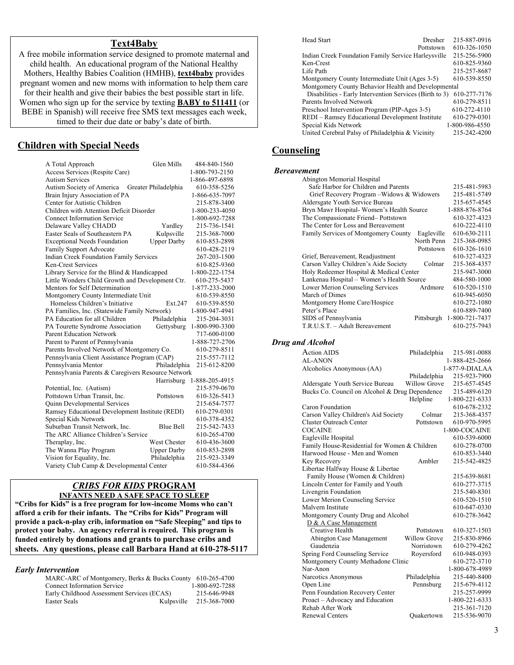#### **Text4Baby**

A free mobile information service designed to promote maternal and child health. An educational program of the National Healthy Mothers, Healthy Babies Coalition (HMHB), **text4baby** provides pregnant women and new moms with information to help them care for their health and give their babies the best possible start in life. Women who sign up for the service by texting **BABY to 511411** (or BEBE in Spanish) will receive free SMS text messages each week, timed to their due date or baby's date of birth.

#### **Children with Special Needs**

|                                                                | Glen Mills           |                                |
|----------------------------------------------------------------|----------------------|--------------------------------|
| A Total Approach                                               |                      | 484-840-1560<br>1-800-793-2150 |
| Access Services (Respite Care)<br><b>Autism Services</b>       |                      |                                |
|                                                                |                      | 1-866-497-6898                 |
| Autism Society of America                                      | Greater Philadelphia | 610-358-5256                   |
| Brain Injury Association of PA<br>Center for Autistic Children |                      | 1-866-635-7097<br>215-878-3400 |
| Children with Attention Deficit Disorder                       |                      |                                |
| <b>Connect Information Service</b>                             |                      | 1-800-233-4050                 |
|                                                                |                      | 1-800-692-7288                 |
| Delaware Valley CHADD                                          | Yardley              | 215-736-1541                   |
| Easter Seals of Southeastern PA                                | Kulpsville           | 215-368-7000                   |
| <b>Exceptional Needs Foundation</b>                            | <b>Upper Darby</b>   | 610-853-2898                   |
| Family Support Advocate                                        |                      | 610-428-2119                   |
| <b>Indian Creek Foundation Family Services</b>                 |                      | 267-203-1500                   |
| Ken-Crest Services                                             |                      | 610-825-9360                   |
| Library Service for the Blind $&$ Handicapped                  |                      | 1-800-222-1754                 |
| Little Wonders Child Growth and Development Ctr.               |                      | 610-275-5437                   |
| Mentors for Self Determination                                 |                      | 1-877-233-2000                 |
| Montgomery County Intermediate Unit                            |                      | 610-539-8550                   |
| Homeless Children's Initiative                                 | Ext.247              | 610-539-8550                   |
| PA Families, Inc. (Statewide Family Network)                   |                      | 1-800-947-4941                 |
| PA Education for all Children                                  | Philadelphia         | 215-204-3031                   |
| PA Tourette Syndrome Association                               | Gettysburg           | 1-800-990-3300                 |
| <b>Parent Education Network</b>                                |                      | 717-600-0100                   |
| Parent to Parent of Pennsylvania                               |                      | 1-888-727-2706                 |
| Parents Involved Network of Montgomery Co.                     |                      | 610-279-8511                   |
| Pennsylvania Client Assistance Program (CAP)                   |                      | 215-557-7112                   |
| Pennsylvania Mentor                                            | Philadelphia         | 215-612-8200                   |
| Pennsylvania Parents & Caregivers Resource Network             |                      |                                |
|                                                                | Harrisburg           | 1-888-205-4915                 |
| Potential, Inc. (Autism)                                       |                      | 215-579-0670                   |
| Pottstown Urban Transit, Inc.                                  | Pottstown            | 610-326-5413                   |
| Quinn Developmental Services                                   |                      | 215-654-7577                   |
| Ramsey Educational Development Institute (REDI)                |                      | 610-279-0301                   |
| Special Kids Network                                           |                      | 610-378-4352                   |
| Suburban Transit Network, Inc.                                 | <b>Blue Bell</b>     | 215-542-7433                   |
| The ARC Alliance Children's Service                            |                      | 610-265-4700                   |
| Theraplay, Inc.                                                | <b>West Chester</b>  | 610-436-3600                   |
| The Wanna Play Program                                         | <b>Upper Darby</b>   | 610-853-2898                   |
| Vision for Equality, Inc.                                      | Philadelphia         | 215-923-3349                   |
| Variety Club Camp & Developmental Center                       |                      | 610-584-4366                   |

#### *CRIBS FOR KIDS* **PROGRAM INFANTS NEED A SAFE SPACE TO SLEEP**

**"Cribs for Kids" is a free program for low-income Moms who can't afford a crib for their infants. The "Cribs for Kids" Program will provide a pack-n-play crib, information on "Safe Sleeping" and tips to protect your baby. An agency referral is required. This program is funded entirely by donations and grants to purchase cribs and sheets. Any questions, please call Barbara Hand at 610-278-5117**

#### *Early Intervention*

| MARC-ARC of Montgomery, Berks & Bucks County 610-265-4700 |            |                |
|-----------------------------------------------------------|------------|----------------|
| <b>Connect Information Service</b>                        |            | 1-800-692-7288 |
| Early Childhood Assessment Services (ECAS)                |            | 215-646-9948   |
| Easter Seals                                              | Kulpsville | 215-368-7000   |

| <b>Head Start</b>                                       | Dresher   | 215-887-0916   |
|---------------------------------------------------------|-----------|----------------|
|                                                         | Pottstown | 610-326-1050   |
| Indian Creek Foundation Family Service Harleysville     |           | 215-256-5900   |
| Ken-Crest                                               |           | 610-825-9360   |
| Life Path                                               |           | 215-257-8687   |
| Montgomery County Intermediate Unit (Ages 3-5)          |           | 610-539-8550   |
| Montgomery County Behavior Health and Developmental     |           |                |
| Disabilities - Early Intervention Services (Birth to 3) |           | 610-277-7176   |
| Parents Involved Network                                |           | 610-279-8511   |
| Preschool Intervention Program (PIP-Ages 3-5)           |           | 610-272-4110   |
| REDI – Ramsey Educational Development Institute         |           | 610-279-0301   |
| Special Kids Network                                    |           | 1-800-986-4550 |
| United Cerebral Palsy of Philadelphia & Vicinity        |           | 215-242-4200   |
|                                                         |           |                |

#### **Counseling**

#### *Bereavement*

| Abington Memorial Hospital                         |                           |
|----------------------------------------------------|---------------------------|
| Safe Harbor for Children and Parents               | 215-481-5983              |
| Grief Recovery Program – Widows & Widowers         | 215-481-5749              |
| Aldersgate Youth Service Bureau                    | 215-657-4545              |
| Bryn Mawr Hospital-Women's Health Source           | 1-888-876-8764            |
| The Compassionate Friend-Pottstown                 | 610-327-4323              |
| The Center for Loss and Bereavement                | 610-222-4110              |
| Family Services of Montgomery County<br>Eagleville | 610-630-2111              |
| North Penn                                         | 215-368-0985              |
| Pottstown                                          | 610-326-1610              |
| Grief, Bereavement, Readjustment                   | 610-327-4323              |
| Carson Valley Children's Aide Society<br>Colmar    | 215-368-4357              |
| Holy Redeemer Hospital & Medical Center            | 215-947-3000              |
| Lankenau Hospital - Women's Health Source          | 484-580-1000              |
| Lower Merion Counseling Services<br>Ardmore        | 610-520-1510              |
| March of Dimes                                     | 610-945-6050              |
| Montgomery Home Care/Hospice                       | 610-272-1080              |
| Peter's Place                                      | 610-889-7400              |
| SIDS of Pennsylvania                               | Pittsburgh 1-800-721-7437 |
| T.R.U.S.T. - Adult Bereavement                     | 610-275-7943              |

#### *Drug and Alcohol*

| Action AIDS                                    | Philadelphia        | 215-981-0088   |
|------------------------------------------------|---------------------|----------------|
| AL-ANON                                        |                     | 1-888-425-2666 |
| Alcoholics Anonymous (AA)                      |                     | 1-877-9-DIALAA |
|                                                | Philadelphia        | 215-923-7900   |
| Aldersgate Youth Service Bureau                | <b>Willow Grove</b> | 215-657-4545   |
| Bucks Co. Council on Alcohol & Drug Dependence |                     | 215-489-6120   |
|                                                | Helpline            | 1-800-221-6333 |
| Caron Foundation                               |                     | 610-678-2332   |
| Carson Valley Children's Aid Society           | Colmar              | 215-368-4357   |
| Cluster Outreach Center                        | Pottstown           | 610-970-5995   |
| <b>COCAINE</b>                                 |                     | 1-800-COCAINE  |
| Eagleville Hospital                            |                     | 610-539-6000   |
| Family House-Residential for Women & Children  |                     | 610-278-0700   |
| Harwood House - Men and Women                  |                     | 610-853-3440   |
| Key Recovery                                   | Ambler              | 215-542-4825   |
| Libertae Halfway House & Libertae              |                     |                |
| Family House (Women & Children)                |                     | 215-639-8681   |
| Lincoln Center for Family and Youth            |                     | 610-277-3715   |
| Livengrin Foundation                           |                     | 215-540-8301   |
| Lower Merion Counseling Service                |                     | 610-520-1510   |
| Malvern Institute                              |                     | 610-647-0330   |
| Montgomery County Drug and Alcohol             |                     | 610-278-3642   |
| D & A Case Management                          |                     |                |
| Creative Health                                | Pottstown           | 610-327-1503   |
| Abington Case Management                       | <b>Willow Grove</b> | 215-830-8966   |
| Gaudenzia                                      | Norristown          | 610-279-4262   |
| Spring Ford Counseling Service                 | Royersford          | 610-948-0393   |
| Montgomery County Methadone Clinic             |                     | 610-272-3710   |
| Nar-Anon                                       |                     | 1-800-678-4989 |
| Narcotics Anonymous                            | Philadelphia        | 215-440-8400   |
| Open Line                                      | Pennsburg           | 215-679-4112   |
| Penn Foundation Recovery Center                |                     | 215-257-9999   |
| Proact – Advocacy and Education                |                     | 1-800-221-6333 |
| Rehab After Work                               |                     | 215-361-7120   |
| <b>Renewal Centers</b>                         | Ouakertown          | 215-536-9070   |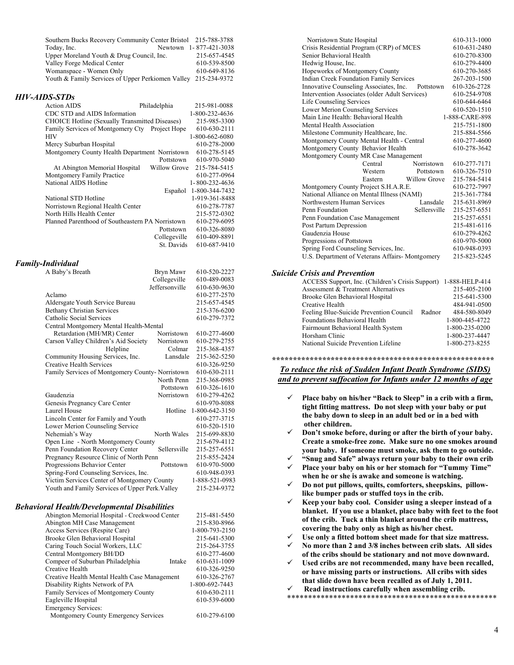| Southern Bucks Recovery Community Center Bristol 215-788-3788  |                        |
|----------------------------------------------------------------|------------------------|
| Today, Inc.                                                    | Newtown 1-877-421-3038 |
| Upper Moreland Youth & Drug Council, Inc.                      | 215-657-4545           |
| Valley Forge Medical Center                                    | 610-539-8500           |
| Womanspace - Women Only                                        | 610-649-8136           |
| Youth & Family Services of Upper Perkiomen Valley 215-234-9372 |                        |

#### *HIV-AIDS-STDs*

| <b>Action AIDS</b>                                    | Philadelphia        | 215-981-0088           |
|-------------------------------------------------------|---------------------|------------------------|
| CDC STD and AIDS Information                          |                     | 1-800-232-4636         |
| <b>CHOICE Hotline (Sexually Transmitted Diseases)</b> |                     | 215-985-3300           |
| Family Services of Montgomery Cty Project Hope        |                     | 610-630-2111           |
| <b>HIV</b>                                            |                     | 1-800-662-6080         |
| Mercy Suburban Hospital                               |                     | 610-278-2000           |
| Montgomery County Health Department Norristown        |                     | 610-278-5145           |
|                                                       | Pottstown           | 610-970-5040           |
| At Abington Memorial Hospital                         | <b>Willow Grove</b> | 215-784-5415           |
| Montgomery Family Practice                            |                     | 610-277-0964           |
| National AIDS Hotline                                 |                     | $1 - 800 - 232 - 4636$ |
|                                                       | Español             | 1-800-344-7432         |
| National STD Hotline                                  |                     | 1-919-361-8488         |
| Norristown Regional Health Center                     |                     | 610-278-7787           |
| North Hills Health Center                             |                     | 215-572-0302           |
| Planned Parenthood of Southeastern PA Norristown      |                     | 610-279-6095           |
|                                                       | Pottstown           | 610-326-8080           |
|                                                       | Collegeville        | 610-409-8891           |
|                                                       | St Davids           | 610-687-9410           |

#### *Family-Individual*

| A Baby's Breath                                 | Bryn Mawr      | 610-520-2227   |
|-------------------------------------------------|----------------|----------------|
|                                                 | Collegeville   | 610-489-0083   |
|                                                 | Jeffersonville | 610-630-9630   |
| Aclamo                                          |                | 610-277-2570   |
| Aldersgate Youth Service Bureau                 |                | 215-657-4545   |
| <b>Bethany Christian Services</b>               |                | 215-376-6200   |
| Catholic Social Services                        |                | 610-279-7372   |
| Central Montgomery Mental Health-Mental         |                |                |
| Retardation (MH/MR) Center                      | Norristown     | 610-277-4600   |
| Carson Valley Children's Aid Society            | Norristown     | 610-279-2755   |
| Helpline                                        | Colmar         | 215-368-4357   |
| Community Housing Services, Inc.                | Lansdale       | 215-362-5250   |
| Creative Health Services                        |                | 610-326-9250   |
| Family Services of Montgomery County-Norristown |                | 610-630-2111   |
|                                                 | North Penn     | 215-368-0985   |
|                                                 | Pottstown      | 610-326-1610   |
| Gaudenzia                                       | Norristown     | 610-279-4262   |
| Genesis Pregnancy Care Center                   |                | 610-970-8088   |
| Laurel House                                    | Hotline        | 1-800-642-3150 |
| Lincoln Center for Family and Youth             |                | 610-277-3715   |
| Lower Merion Counseling Service                 |                | 610-520-1510   |
| Nehemiah's Way                                  | North Wales    | 215-699-8830   |
| Open Line - North Montgomery County             |                | 215-679-4112   |
| Penn Foundation Recovery Center                 | Sellersville   | 215-257-6551   |
| Pregnancy Resource Clinic of North Penn         |                | 215-855-2424   |
| Progressions Behavior Center                    | Pottstown      | 610-970-5000   |
| Spring-Ford Counseling Services, Inc.           |                | 610-948-0393   |
| Victim Services Center of Montgomery County     |                | 1-888-521-0983 |
| Youth and Family Services of Upper Perk. Valley |                | 215-234-9372   |
|                                                 |                |                |

#### *Behavioral Health/Developmental Disabilities*

| Abington Memorial Hospital - Creekwood Center | 215-481-5450   |
|-----------------------------------------------|----------------|
| Abington MH Case Management                   | 215-830-8966   |
| Access Services (Respite Care)                | 1-800-793-2150 |
| Brooke Glen Behavioral Hospital               | 215-641-5300   |
| Caring Touch Social Workers, LLC              | 215-264-3755   |
| Central Montgomery BH/DD                      | 610-277-4600   |
| Compeer of Suburban Philadelphia<br>Intake    | 610-631-1009   |
| Creative Health                               | 610-326-9250   |
| Creative Health Mental Health Case Management | 610-326-2767   |
| Disability Rights Network of PA               | 1-800-692-7443 |
| <b>Family Services of Montgomery County</b>   | 610-630-2111   |
| Eagleville Hospital                           | 610-539-6000   |
| <b>Emergency Services:</b>                    |                |
| Montgomery County Emergency Corrigeo          | (10.270.6100)  |

Montgomery County Emergency Services 610-279-6100

| Norristown State Hospital                           | 610-313-1000   |
|-----------------------------------------------------|----------------|
| Crisis Residential Program (CRP) of MCES            | 610-631-2480   |
| Senior Behavioral Health                            | 610-270-8300   |
| Hedwig House, Inc.                                  | 610-279-4400   |
| Hopeworkx of Montgomery County                      | 610-270-3685   |
| <b>Indian Creek Foundation Family Services</b>      | 267-203-1500   |
| Innovative Counseling Associates, Inc.<br>Pottstown | 610-326-2728   |
| Intervention Associates (older Adult Services)      | 610-254-9708   |
| Life Counseling Services                            | 610-644-6464   |
| Lower Merion Counseling Services                    | 610-520-1510   |
| Main Line Health: Behavioral Health                 | 1-888-CARE-898 |
| Mental Health Association                           | 215-751-1800   |
| Milestone Community Healthcare, Inc.                | 215-884-5566   |
| Montgomery County Mental Health - Central           | 610-277-4600   |
| Montgomery County Behavior Health                   | 610-278-3642   |
| Montgomery County MR Case Management                |                |
| Central<br>Norristown                               | 610-277-7171   |
| Western<br>Pottstown                                | 610-326-7510   |
| Willow Grove<br>Eastern                             | 215-784-5414   |
| Montgomery County Project S.H.A.R.E.                | 610-272-7997   |
| National Alliance on Mental Illness (NAMI)          | 215-361-7784   |
| Lansdale<br>Northwestern Human Services             | 215-631-8969   |
| Penn Foundation<br>Sellersville                     | 215-257-6551   |
| Penn Foundation Case Management                     | 215-257-6551   |
| Post Partum Depression                              | 215-481-6116   |
| Gaudenzia House                                     | 610-279-4262   |
| Progressions of Pottstown                           | 610-970-5000   |
| Spring Ford Counseling Services, Inc.               | 610-948-0393   |
| U.S. Department of Veterans Affairs-Montgomery      | 215-823-5245   |

#### *Suicide Crisis and Prevention*

| ACCESS Support, Inc. (Children's Crisis Support)  | 1-888-HELP-414 |
|---------------------------------------------------|----------------|
| Assessment & Treatment Alternatives               | 215-405-2100   |
| Brooke Glen Behavioral Hospital                   | 215-641-5300   |
| Creative Health                                   | 484-941-0500   |
| Feeling Blue-Suicide Prevention Council<br>Radnor | 484-580-8049   |
| Foundations Behavioral Health                     | 1-800-445-4722 |
| Fairmount Behavioral Health System                | 1-800-235-0200 |
| Horsham Clinic                                    | 1-800-237-4447 |
| National Suicide Prevention Lifeline              | 1-800-273-8255 |
|                                                   |                |

#### **\*\*\*\*\*\*\*\*\*\*\*\*\*\*\*\*\*\*\*\*\*\*\*\*\*\*\*\*\*\*\*\*\*\*\*\*\*\*\*\*\*\*\*\*\*\*\*\*\*\*\*\*\***  *To reduce the risk of Sudden Infant Death Syndrome (SIDS) and to prevent suffocation for Infants under 12 months of age*

- 9 **Place baby on his/her "Back to Sleep" in a crib with a firm, tight fitting mattress. Do not sleep with your baby or put the baby down to sleep in an adult bed or in a bed with other children.**
- 9 **Don't smoke before, during or after the birth of your baby. Create a smoke-free zone. Make sure no one smokes around your baby. If someone must smoke, ask them to go outside.**
- 9 **"Snug and Safe" always return your baby to their own crib**
- 9 **Place your baby on his or her stomach for "Tummy Time" when he or she is awake and someone is watching.**
- 9 **Do not put pillows, quilts, comforters, sheepskins, pillowlike bumper pads or stuffed toys in the crib.**
- 9 **Keep your baby cool. Consider using a sleeper instead of a blanket. If you use a blanket, place baby with feet to the foot of the crib. Tuck a thin blanket around the crib mattress, covering the baby only as high as his/her chest.**
- Use only a fitted bottom sheet made for that size mattress.
- 9 **No more than 2 and 3/8 inches between crib slats. All sides of the cribs should be stationary and not move downward.**
- Used cribs are not recommended, many have been recalled, **or have missing parts or instructions. All cribs with sides that slide down have been recalled as of July 1, 2011.**
- 9 **Read instructions carefully when assembling crib.**
- \*\*\*\*\*\*\*\*\*\*\*\*\*\*\*\*\*\*\*\*\*\*\*\*\*\*\*\*\*\*\*\*\*\*\*\*\*\*\*\*\*\*\*\*\*\*\*\*\*\*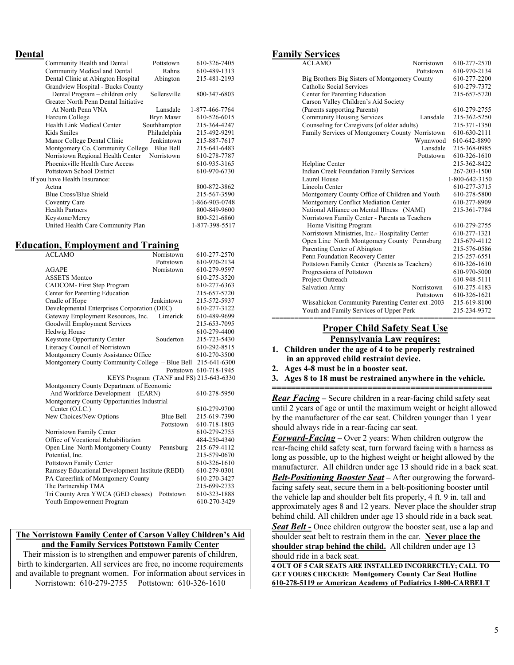#### **Dental**

| Community Health and Dental          | Pottstown    | 610-326-7405   |
|--------------------------------------|--------------|----------------|
| Community Medical and Dental         | Rahns        | 610-489-1313   |
| Dental Clinic at Abington Hospital   | Abington     | 215-481-2193   |
| Grandview Hospital - Bucks County    |              |                |
| Dental Program – children only       | Sellersville | 800-347-6803   |
| Greater North Penn Dental Initiative |              |                |
| At North Penn VNA                    | Lansdale     | 1-877-466-7764 |
| Harcum College                       | Bryn Mawr    | 610-526-6015   |
| Health Link Medical Center           | Southhampton | 215-364-4247   |
| Kids Smiles                          | Philadelphia | 215-492-9291   |
| Manor College Dental Clinic          | Jenkintown   | 215-887-7617   |
| Montgomery Co. Community College     | Blue Bell    | 215-641-6483   |
| Norristown Regional Health Center    | Norristown   | 610-278-7787   |
| Phoenixville Health Care Access      |              | 610-935-3165   |
| <b>Pottstown School District</b>     |              | 610-970-6730   |
| If you have Health Insurance:        |              |                |
| Aetna                                |              | 800-872-3862   |
| Blue Cross/Blue Shield               |              | 215-567-3590   |
| Coventry Care                        |              | 1-866-903-0748 |
| <b>Health Partners</b>               |              | 800-849-9600   |
| Keystone/Mercy                       |              | 800-521-6860   |
| United Health Care Community Plan    |              | 1-877-398-5517 |
|                                      |              |                |

#### **Education, Employment and Training**

| <b>ACLAMO</b>                                                | Norristown                              | 610-277-2570           |
|--------------------------------------------------------------|-----------------------------------------|------------------------|
|                                                              | Pottstown                               | 610-970-2134           |
| <b>AGAPE</b>                                                 | Norristown                              | 610-279-9597           |
| <b>ASSETS Montco</b>                                         |                                         | 610-275-3520           |
| CADCOM-First Step Program                                    |                                         | 610-277-6363           |
| Center for Parenting Education                               |                                         | 215-657-5720           |
| Cradle of Hope                                               | Jenkintown                              | 215-572-5937           |
| Developmental Enterprises Corporation (DEC)                  |                                         | 610-277-3122           |
| Gateway Employment Resources, Inc.                           | Limerick                                | 610-489-9699           |
| Goodwill Employment Services                                 |                                         | 215-653-7095           |
| <b>Hedwig House</b>                                          |                                         | 610-279-4400           |
| Keystone Opportunity Center                                  | Souderton                               | 215-723-5430           |
| Literacy Council of Norristown                               |                                         | 610-292-8515           |
| Montgomery County Assistance Office                          |                                         | 610-270-3500           |
| Montgomery County Community College – Blue Bell 215-641-6300 |                                         |                        |
|                                                              |                                         | Pottstown 610-718-1945 |
|                                                              | KEYS Program (TANF and FS) 215-643-6330 |                        |
| Montgomery County Department of Economic                     |                                         |                        |
| And Workforce Development (EARN)                             |                                         | 610-278-5950           |
| Montgomery County Opportunities Industrial                   |                                         |                        |
| Center $(O.I.C.)$                                            |                                         | 610-279-9700           |
| New Choices/New Options                                      | <b>Blue Bell</b>                        | 215-619-7390           |
|                                                              | Pottstown                               | 610-718-1803           |
| Norristown Family Center                                     |                                         | 610-279-2755           |
| Office of Vocational Rehabilitation                          |                                         | 484-250-4340           |
| Open Line North Montgomery County                            | Pennsburg                               | 215-679-4112           |
| Potential, Inc.                                              |                                         | 215-579-0670           |
| Pottstown Family Center                                      |                                         | 610-326-1610           |
| Ramsey Educational Development Institute (REDI)              |                                         | 610-279-0301           |
| PA Careerlink of Montgomery County                           |                                         | 610-270-3427           |
| The Partnership TMA                                          |                                         | 215-699-2733           |
| Tri County Area YWCA (GED classes)                           | Pottstown                               | 610-323-1888           |
| Youth Empowerment Program                                    |                                         | 610-270-3429           |
|                                                              |                                         |                        |

#### **The Norristown Family Center of Carson Valley Children's Aid and the Family Services Pottstown Family Center**

Their mission is to strengthen and empower parents of children, birth to kindergarten. All services are free, no income requirements and available to pregnant women. For information about services in Norristown: 610-279-2755 Pottstown: 610-326-1610

#### **Family Services**

| <b>ACLAMO</b>                                    | Norristown | 610-277-2570   |
|--------------------------------------------------|------------|----------------|
|                                                  | Pottstown  | 610-970-2134   |
| Big Brothers Big Sisters of Montgomery County    |            | 610-277-2200   |
| Catholic Social Services                         |            | 610-279-7372   |
| Center for Parenting Education                   |            | 215-657-5720   |
| Carson Valley Children's Aid Society             |            |                |
| (Parents supporting Parents)                     |            | 610-279-2755   |
| <b>Community Housing Services</b>                | Lansdale   | 215-362-5250   |
| Counseling for Caregivers (of older adults)      |            | 215-371-1350   |
| Family Services of Montgomery County Norristown  |            | 610-630-2111   |
|                                                  | Wynnwood   | 610-642-8890   |
|                                                  | Lansdale   | 215-368-0985   |
|                                                  | Pottstown  | 610-326-1610   |
| Helpline Center                                  |            | 215-362-8422   |
| <b>Indian Creek Foundation Family Services</b>   |            | 267-203-1500   |
| Laurel House                                     |            | 1-800-642-3150 |
| Lincoln Center                                   |            | 610-277-3715   |
| Montgomery County Office of Children and Youth   |            | 610-278-5800   |
| Montgomery Conflict Mediation Center             |            | 610-277-8909   |
| National Alliance on Mental Illness (NAMI)       |            | 215-361-7784   |
| Norristown Family Center - Parents as Teachers   |            |                |
| Home Visiting Program                            |            | 610-279-2755   |
| Norristown Ministries, Inc.- Hospitality Center  |            | 610-277-1321   |
| Open Line North Montgomery County Pennsburg      |            | 215-679-4112   |
| Parenting Center of Abington                     |            | 215-576-0586   |
| Penn Foundation Recovery Center                  |            | 215-257-6551   |
| Pottstown Family Center (Parents as Teachers)    |            | 610-326-1610   |
| Progressions of Pottstown                        |            | 610-970-5000   |
| Project Outreach                                 |            | 610-948-5111   |
| <b>Salvation Army</b>                            | Norristown | 610-275-4183   |
|                                                  | Pottstown  | 610-326-1621   |
| Wissahickon Community Parenting Center ext. 2003 |            | 215-619-8100   |
| Youth and Family Services of Upper Perk          |            | 215-234-9372   |

#### =========================================================== **Proper Child Safety Seat Use Pennsylvania Law requires:**

- **1. Children under the age of 4 to be properly restrained in an approved child restraint device.**
- **2. Ages 4-8 must be in a booster seat.**
- **3. Ages 8 to 18 must be restrained anywhere in the vehicle. ==============================================**

*Rear Facing* **–** Secure children in a rear-facing child safety seat until 2 years of age or until the maximum weight or height allowed by the manufacturer of the car seat. Children younger than 1 year should always ride in a rear-facing car seat.

*Forward-Facing* **–** Over 2 years: When children outgrow the rear-facing child safety seat, turn forward facing with a harness as long as possible, up to the highest weight or height allowed by the manufacturer. All children under age 13 should ride in a back seat.

*Belt-Positioning Booster Seat* **–** After outgrowing the forwardfacing safety seat, secure them in a belt-positioning booster until the vehicle lap and shoulder belt fits properly, 4 ft. 9 in. tall and approximately ages 8 and 12 years. Never place the shoulder strap behind child. All children under age 13 should ride in a back seat.

**Seat Belt -** Once children outgrow the booster seat, use a lap and shoulder seat belt to restrain them in the car. **Never place the shoulder strap behind the child.** All children under age 13 should ride in a back seat.

**4 OUT OF 5 CAR SEATS ARE INSTALLED INCORRECTLY; CALL TO GET YOURS CHECKED: Montgomery County Car Seat Hotline 610-278-5119 or American Academy of Pediatrics 1-800-CARBELT**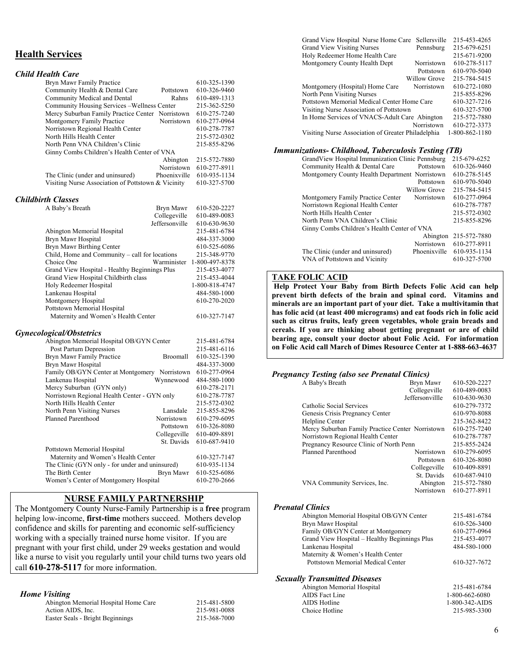#### **Health Services**

| <b>Child Health Care</b>                           |              |              |
|----------------------------------------------------|--------------|--------------|
| Bryn Mawr Family Practice                          |              | 610-325-1390 |
| Community Health & Dental Care                     | Pottstown    | 610-326-9460 |
| Community Medical and Dental                       | Rahns        | 610-489-1313 |
| Community Housing Services – Wellness Center       |              | 215-362-5250 |
| Mercy Suburban Family Practice Center Norristown   |              | 610-275-7240 |
| Montgomery Family Practice                         | Norristown   | 610-277-0964 |
| Norristown Regional Health Center                  |              | 610-278-7787 |
| North Hills Health Center                          |              | 215-572-0302 |
| North Penn VNA Children's Clinic                   |              | 215-855-8296 |
| Ginny Combs Children's Health Center of VNA        |              |              |
|                                                    | Abington     | 215-572-7880 |
|                                                    | Norristown   | 610-277-8911 |
| The Clinic (under and uninsured)                   | Phoenixville | 610-935-1134 |
| Visiting Nurse Association of Pottstown & Vicinity |              | 610-327-5700 |

#### *Childbirth Classes*

| A Baby's Breath                                | Bryn Mawr      | 610-520-2227               |
|------------------------------------------------|----------------|----------------------------|
|                                                | Collegeville   | 610-489-0083               |
|                                                | Jeffersonville | 610-630-9630               |
| Abington Memorial Hospital                     |                | 215-481-6784               |
| Bryn Mawr Hospital                             |                | 484-337-3000               |
| Bryn Mawr Birthing Center                      |                | 610-525-6086               |
| Child, Home and Community – call for locations |                | 215-348-9770               |
| Choice One                                     |                | Warminister 1-800-497-8378 |
| Grand View Hospital - Healthy Beginnings Plus  |                | 215-453-4077               |
| Grand View Hospital Childbirth class           |                | 215-453-4044               |
| Holy Redeemer Hospital                         |                | 1-800-818-4747             |
| Lankenau Hospital                              |                | 484-580-1000               |
| Montgomery Hospital                            |                | 610-270-2020               |
| Pottstown Memorial Hospital                    |                |                            |
| Maternity and Women's Health Center            |                | 610-327-7147               |

#### *Gynecological/Obstetrics*

| Abington Memorial Hospital OB/GYN Center        |              | 215-481-6784 |
|-------------------------------------------------|--------------|--------------|
| Post Partum Depression                          |              | 215-481-6116 |
| Bryn Mawr Family Practice                       | Broomall     | 610-325-1390 |
| Bryn Mawr Hospital                              |              | 484-337-3000 |
| Family OB/GYN Center at Montgomery Norristown   |              | 610-277-0964 |
| Lankenau Hospital                               | Wynnewood    | 484-580-1000 |
| Mercy Suburban (GYN only)                       |              | 610-278-2171 |
| Norristown Regional Health Center - GYN only    |              | 610-278-7787 |
| North Hills Health Center                       |              | 215-572-0302 |
| North Penn Visiting Nurses                      | Lansdale     | 215-855-8296 |
| Planned Parenthood                              | Norristown   | 610-279-6095 |
|                                                 | Pottstown    | 610-326-8080 |
|                                                 | Collegeville | 610-409-8891 |
|                                                 | St. Davids   | 610-687-9410 |
| Pottstown Memorial Hospital                     |              |              |
| Maternity and Women's Health Center             |              | 610-327-7147 |
| The Clinic (GYN only - for under and uninsured) |              | 610-935-1134 |
| The Birth Center                                | Bryn Mawr    | 610-525-6086 |
| Women's Center of Montgomery Hospital           |              | 610-270-2666 |

#### **NURSE FAMILY PARTNERSHIP**

The Montgomery County Nurse-Family Partnership is a **free** program helping low-income, **first-time** mothers succeed. Mothers develop confidence and skills for parenting and economic self-sufficiency working with a specially trained nurse home visitor. If you are pregnant with your first child, under 29 weeks gestation and would like a nurse to visit you regularly until your child turns two years old call **610-278-5117** for more information.

#### *Home Visiting*

| Abington Memorial Hospital Home Care | 215-481-5800 |
|--------------------------------------|--------------|
| Action AIDS, Inc.                    | 215-981-0088 |
| Easter Seals - Bright Beginnings     | 215-368-7000 |

| 215-481-580 |  |
|-------------|--|
| 215-981-008 |  |
| 215-368-700 |  |

| Grand View Hospital Nurse Home Care                | Sellersville | 215-453-4265   |
|----------------------------------------------------|--------------|----------------|
| <b>Grand View Visiting Nurses</b>                  | Pennsburg    | 215-679-6251   |
| Holy Redeemer Home Health Care                     |              | 215-671-9200   |
| Montgomery County Health Dept                      | Norristown   | 610-278-5117   |
|                                                    | Pottstown    | 610-970-5040   |
|                                                    | Willow Grove | 215-784-5415   |
| Montgomery (Hospital) Home Care                    | Norristown   | 610-272-1080   |
| North Penn Visiting Nurses                         |              | 215-855-8296   |
| Pottstown Memorial Medical Center Home Care        |              | 610-327-7216   |
| Visiting Nurse Association of Pottstown            |              | 610-327-5700   |
| In Home Services of VNACS-Adult Care Abington      |              | 215-572-7880   |
|                                                    | Norristown   | 610-272-3373   |
| Visiting Nurse Association of Greater Philadelphia |              | 1-800-862-1180 |
|                                                    |              |                |

#### *Immunizations- Childhood, Tuberculosis Testing (TB)*

| Grand View Hospital Immunization Clinic Pennsburg |              | 215-679-6252 |
|---------------------------------------------------|--------------|--------------|
| Community Health & Dental Care                    | Pottstown    | 610-326-9460 |
| Montgomery County Health Department Norristown    |              | 610-278-5145 |
|                                                   | Pottstown    | 610-970-5040 |
|                                                   | Willow Grove | 215-784-5415 |
| Montgomery Family Practice Center                 | Norristown   | 610-277-0964 |
| Norristown Regional Health Center                 |              | 610-278-7787 |
| North Hills Health Center                         |              | 215-572-0302 |
| North Penn VNA Children's Clinic                  |              | 215-855-8296 |
| Ginny Combs Children's Health Center of VNA       |              |              |
|                                                   | Abington     | 215-572-7880 |
|                                                   | Norristown   | 610-277-8911 |
| The Clinic (under and uninsured)                  | Phoenixville | 610-935-1134 |
| VNA of Pottstown and Vicinity                     |              | 610-327-5700 |
|                                                   |              |              |

#### **TAKE FOLIC ACID**

 **Help Protect Your Baby from Birth Defects Folic Acid can help prevent birth defects of the brain and spinal cord. Vitamins and minerals are an important part of your diet. Take a multivitamin that has folic acid (at least 400 micrograms) and eat foods rich in folic acid such as citrus fruits, leafy green vegetables, whole grain breads and cereals. If you are thinking about getting pregnant or are of child bearing age, consult your doctor about Folic Acid. For information on Folic Acid call March of Dimes Resource Center at 1-888-663-4637** 

#### *Pregnancy Testing (also see Prenatal Clinics)*

| ິ |                                                  |                 |              |
|---|--------------------------------------------------|-----------------|--------------|
|   | A Baby's Breath                                  | Bryn Mawr       | 610-520-2227 |
|   |                                                  | Collegeville    | 610-489-0083 |
|   |                                                  | Jeffersonvillle | 610-630-9630 |
|   | Catholic Social Services                         |                 | 610-279-7372 |
|   | Genesis Crisis Pregnancy Center                  |                 | 610-970-8088 |
|   | Helpline Center                                  |                 | 215-362-8422 |
|   | Mercy Suburban Family Practice Center Norristown |                 | 610-275-7240 |
|   | Norristown Regional Health Center                |                 | 610-278-7787 |
|   | Pregnancy Resource Clinic of North Penn          |                 | 215-855-2424 |
|   | <b>Planned Parenthood</b>                        | Norristown      | 610-279-6095 |
|   |                                                  | Pottstown       | 610-326-8080 |
|   |                                                  | Collegeville    | 610-409-8891 |
|   |                                                  | St. Davids      | 610-687-9410 |
|   | VNA Community Services, Inc.                     | Abington        | 215-572-7880 |
|   |                                                  | Norristown      | 610-277-8911 |
|   | <b>Prenatal Clinics</b>                          |                 |              |
|   | Abington Memorial Hospital OB/GYN Center         |                 | 215-481-6784 |
|   | <b>Bryn Mawr Hospital</b>                        |                 | 610-526-3400 |
|   | Family OB/GYN Center at Montgomery               |                 | 610-277-0964 |
|   | Grand View Hospital – Healthy Beginnings Plus    |                 | 215-453-4077 |
|   | Lankenau Hospital                                |                 | 484-580-1000 |
|   | Maternity & Women's Health Center                |                 |              |
|   | Pottstown Memorial Medical Center                |                 | 610-327-7672 |
|   |                                                  |                 |              |

#### *Sexually Transmitted Diseases*

| Abington Memorial Hospital | 215-481-6784   |
|----------------------------|----------------|
| AIDS Fact Line             | 1-800-662-6080 |
| AIDS Hotline               | 1-800-342-AIDS |
| Choice Hotline             | 215-985-3300   |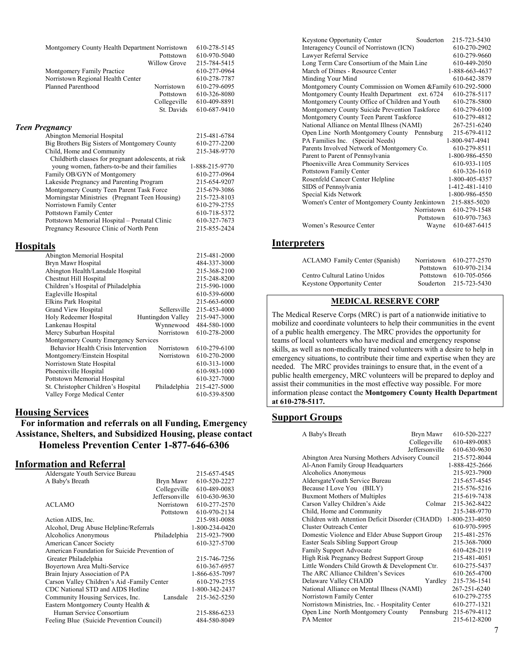| Montgomery County Health Department Norristown |                     | 610-278-5145 |
|------------------------------------------------|---------------------|--------------|
|                                                | Pottstown           | 610-970-5040 |
|                                                | <b>Willow Grove</b> | 215-784-5415 |
| Montgomery Family Practice                     |                     | 610-277-0964 |
| Norristown Regional Health Center              |                     | 610-278-7787 |
| Planned Parenthood                             | Norristown          | 610-279-6095 |
|                                                | Pottstown           | 610-326-8080 |
|                                                | Collegeville        | 610-409-8891 |
|                                                | St. Davids          | 610-687-9410 |
|                                                |                     |              |

#### *Teen Pregnancy*

| 215-481-6784   |
|----------------|
| 610-277-2200   |
| 215-348-9770   |
|                |
| 1-888-215-9770 |
| 610-277-0964   |
| 215-654-9207   |
| 215-679-3086   |
| 215-723-8103   |
| 610-279-2755   |
| 610-718-5372   |
| 610-327-7673   |
| 215-855-2424   |
|                |

#### **Hospitals**

| Abington Memorial Hospital                 |                   | 215-481-2000 |
|--------------------------------------------|-------------------|--------------|
| Bryn Mawr Hospital                         |                   | 484-337-3000 |
| Abington Health/Lansdale Hospital          |                   | 215-368-2100 |
| Chestnut Hill Hospital                     |                   | 215-248-8200 |
| Children's Hospital of Philadelphia        |                   | 215-590-1000 |
| Eagleville Hospital                        |                   | 610-539-6000 |
| Elkins Park Hospital                       |                   | 215-663-6000 |
| Grand View Hospital                        | Sellersville      | 215-453-4000 |
| Holy Redeemer Hospital                     | Huntingdon Valley | 215-947-3000 |
| Lankenau Hospital                          | Wynnewood         | 484-580-1000 |
| Mercy Suburban Hospital                    | Norristown        | 610-278-2000 |
| Montgomery County Emergency Services       |                   |              |
| <b>Behavior Health Crisis Intervention</b> | Norristown        | 610-279-6100 |
| Montgomery/Einstein Hospital               | Norristown        | 610-270-2000 |
| Norristown State Hospital                  |                   | 610-313-1000 |
| Phoenixville Hospital                      |                   | 610-983-1000 |
| Pottstown Memorial Hospital                |                   | 610-327-7000 |
| St. Christopher Children's Hospital        | Philadelphia      | 215-427-5000 |
| Valley Forge Medical Center                |                   | 610-539-8500 |
|                                            |                   |              |

#### **Housing Services**

**For information and referrals on all Funding, Emergency Assistance, Shelters, and Subsidized Housing, please contact Homeless Prevention Center 1-877-646-6306** 

#### **Information and Referral**

| Aldersgate Youth Service Bureau               |                | 215-657-4545   |
|-----------------------------------------------|----------------|----------------|
| A Baby's Breath                               | Bryn Mawr      | 610-520-2227   |
|                                               | Collegeville   | 610-489-0083   |
|                                               | Jeffersonville | 610-630-9630   |
| ACLAMO                                        | Norristown     | 610-277-2570   |
|                                               | Pottstown      | 610-970-2134   |
| Action AIDS, Inc.                             |                | 215-981-0088   |
| Alcohol, Drug Abuse Helpline/Referrals        |                | 1-800-234-0420 |
| Alcoholics Anonymous                          | Philadelphia   | 215-923-7900   |
| American Cancer Society                       |                | 610-327-5700   |
| American Foundation for Suicide Prevention of |                |                |
| Greater Philadelphia                          |                | 215-746-7256   |
| Boyertown Area Multi-Service                  |                | 610-367-6957   |
| Brain Injury Association of PA                |                | 1-866-635-7097 |
| Carson Valley Children's Aid -Family Center   |                | 610-279-2755   |
| CDC National STD and AIDS Hotline             |                | 1-800-342-2437 |
| Community Housing Services, Inc.              | Lansdale       | 215-362-5250   |
| Eastern Montgomery County Health &            |                |                |
| Human Service Consortium                      |                | 215-886-6233   |
| Feeling Blue (Suicide Prevention Council)     |                | 484-580-8049   |

| <b>Keystone Opportunity Center</b>                          | Souderton  | 215-723-5430   |
|-------------------------------------------------------------|------------|----------------|
| Interagency Council of Norristown (ICN)                     |            | 610-270-2902   |
| Lawyer Referral Service                                     |            | 610-279-9660   |
| Long Term Care Consortium of the Main Line                  |            | 610-449-2050   |
| March of Dimes - Resource Center                            |            | 1-888-663-4637 |
| Minding Your Mind                                           |            | 610-642-3879   |
| Montgomery County Commission on Women & Family 610-292-5000 |            |                |
| Montgomery County Health Department ext. 6724               |            | 610-278-5117   |
| Montgomery County Office of Children and Youth              |            | 610-278-5800   |
| Montgomery County Suicide Prevention Taskforce              |            | 610-279-6100   |
| Montgomery County Teen Parent Taskforce                     |            | 610-279-4812   |
| National Alliance on Mental Illness (NAMI)                  |            | 267-251-6240   |
| Open Line North Montgomery County Pennsburg                 |            | 215-679-4112   |
| PA Families Inc. (Special Needs)                            |            | 1-800-947-4941 |
| Parents Involved Network of Montgomery Co.                  |            | 610-279-8511   |
| Parent to Parent of Pennsylvania                            |            | 1-800-986-4550 |
| Phoenixville Area Community Services                        |            | 610-933-1105   |
| Pottstown Family Center                                     |            | 610-326-1610   |
| Rosenfeld Cancer Center Helpline                            |            | 1-800-405-4357 |
| SIDS of Pennsylvania                                        |            | 1-412-481-1410 |
| Special Kids Network                                        |            | 1-800-986-4550 |
| Women's Center of Montgomery County Jenkintown              |            | 215-885-5020   |
|                                                             | Norristown | 610-279-1548   |
|                                                             | Pottstown  | 610-970-7363   |
| Women's Resource Center                                     | Wayne      | 610-687-6415   |
|                                                             |            |                |

#### **Interpreters**

| <b>ACLAMO</b> Family Center (Spanish) | Norristown 610-277-2570 |
|---------------------------------------|-------------------------|
|                                       | Pottstown 610-970-2134  |
| Centro Cultural Latino Unidos         | Pottstown 610-705-0566  |
| <b>Keystone Opportunity Center</b>    | Souderton 215-723-5430  |

#### **MEDICAL RESERVE CORP**

The Medical Reserve Corps (MRC) is part of a nationwide initiative to mobilize and coordinate volunteers to help their communities in the event of a public health emergency. The MRC provides the opportunity for teams of local volunteers who have medical and emergency response skills, as well as non-medically trained volunteers with a desire to help in emergency situations, to contribute their time and expertise when they are needed. The MRC provides trainings to ensure that, in the event of a public health emergency, MRC volunteers will be prepared to deploy and assist their communities in the most effective way possible. For more information please contact the **Montgomery County Health Department at 610-278-5117.** 

#### **Support Groups**

| A Baby's Breath                                  | Bryn Mawr      | 610-520-2227   |
|--------------------------------------------------|----------------|----------------|
|                                                  | Collegeville   | 610-489-0083   |
|                                                  | Jeffersonville | 610-630-9630   |
| Abington Area Nursing Mothers Advisory Council   |                | 215-572-8044   |
| Al-Anon Family Group Headquarters                |                | 1-888-425-2666 |
| Alcoholics Anonymous                             |                | 215-923-7900   |
| AldersgateYouth Service Bureau                   |                | 215-657-4545   |
| Because I Love You (BILY)                        |                | 215-576-5216   |
| <b>Buxmont Mothers of Multiples</b>              |                | 215-619-7438   |
| Carson Valley Children's Aide                    | Colmar         | 215-362-8422   |
| Child, Home and Community                        |                | 215-348-9770   |
| Children with Attention Deficit Disorder (CHADD) |                | 1-800-233-4050 |
| Cluster Outreach Center                          |                | 610-970-5995   |
| Domestic Violence and Elder Abuse Support Group  |                | 215-481-2576   |
| Easter Seals Sibling Support Group               |                | 215-368-7000   |
| <b>Family Support Advocate</b>                   |                | 610-428-2119   |
| High Risk Pregnancy Bedrest Support Group        |                | 215-481-4051   |
| Little Wonders Child Growth & Development Ctr.   |                | 610-275-5437   |
| The ARC Alliance Children's Sevices              |                | 610-265-4700   |
| Delaware Valley CHADD                            | Yardley        | 215-736-1541   |
| National Alliance on Mental Illness (NAMI)       |                | 267-251-6240   |
| Norristown Family Center                         |                | 610-279-2755   |
| Norristown Ministries, Inc. - Hospitality Center |                | 610-277-1321   |
| Open Line North Montgomery County                | Pennsburg      | 215-679-4112   |
| PA Mentor                                        |                | 215-612-8200   |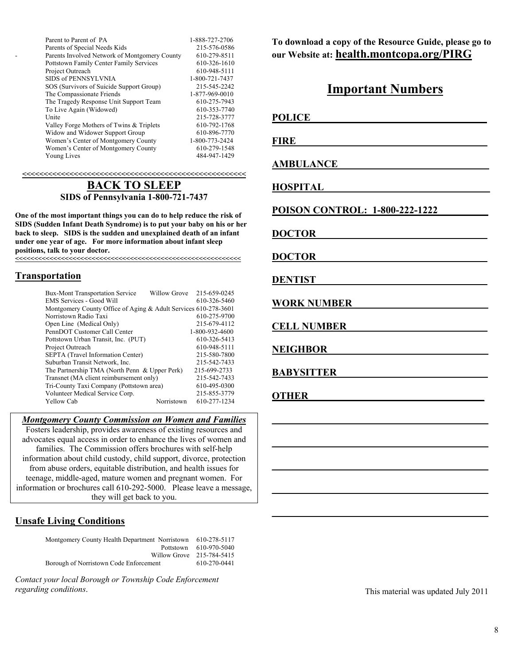| Parent to Parent of PA                         | 1-888-727-2706 |
|------------------------------------------------|----------------|
| Parents of Special Needs Kids                  | 215-576-0586   |
| Parents Involved Network of Montgomery County  | 610-279-8511   |
| <b>Pottstown Family Center Family Services</b> | 610-326-1610   |
| Project Outreach                               | 610-948-5111   |
| SIDS of PENNSYLVNIA                            | 1-800-721-7437 |
| SOS (Survivors of Suicide Support Group)       | 215-545-2242   |
| The Compassionate Friends                      | 1-877-969-0010 |
| The Tragedy Response Unit Support Team         | 610-275-7943   |
| To Live Again (Widowed)                        | 610-353-7740   |
| Unite                                          | 215-728-3777   |
| Valley Forge Mothers of Twins & Triplets       | 610-792-1768   |
| Widow and Widower Support Group                | 610-896-7770   |
| Women's Center of Montgomery County            | 1-800-773-2424 |
| Women's Center of Montgomery County            | 610-279-1548   |
| Young Lives                                    | 484-947-1429   |
|                                                |                |

**<<<<<<<<<<<<<<<<<<<<<<<<<<<<<<<<<<<<<<<<<<<<<<<<<<<<**

#### **BACK TO SLEEP SIDS of Pennsylvania 1-800-721-7437**

**One of the most important things you can do to help reduce the risk of SIDS (Sudden Infant Death Syndrome) is to put your baby on his or her back to sleep. SIDS is the sudden and unexplained death of an infant under one year of age. For more information about infant sleep positions, talk to your doctor.** 

**<<<<<<<<<<<<<<<<<<<<<<<<<<<<<<<<<<<<<<<<<<<<<<<<<<<<<<<<<<<**

#### **Transportation**

| <b>Bux-Mont Transportation Service</b>                          | Willow Grove | 215-659-0245   |
|-----------------------------------------------------------------|--------------|----------------|
| <b>EMS Services - Good Will</b>                                 |              | 610-326-5460   |
| Montgomery County Office of Aging & Adult Services 610-278-3601 |              |                |
| Norristown Radio Taxi                                           |              | 610-275-9700   |
| Open Line (Medical Only)                                        |              | 215-679-4112   |
| PennDOT Customer Call Center                                    |              | 1-800-932-4600 |
| Pottstown Urban Transit, Inc. (PUT)                             |              | 610-326-5413   |
| Project Outreach                                                |              | 610-948-5111   |
| SEPTA (Travel Information Center)                               |              | 215-580-7800   |
| Suburban Transit Network, Inc.                                  |              | 215-542-7433   |
| The Partnership TMA (North Penn & Upper Perk)                   |              | 215-699-2733   |
| Transnet (MA client reimbursement only)                         |              | 215-542-7433   |
| Tri-County Taxi Company (Pottstown area)                        |              | 610-495-0300   |
| Volunteer Medical Service Corp.                                 |              | 215-855-3779   |
| <b>Yellow Cab</b>                                               | Norristown   | 610-277-1234   |

*Montgomery County Commission on Women and Families*

Fosters leadership, provides awareness of existing resources and advocates equal access in order to enhance the lives of women and families. The Commission offers brochures with self-help information about child custody, child support, divorce, protection from abuse orders, equitable distribution, and health issues for teenage, middle-aged, mature women and pregnant women. For information or brochures call 610-292-5000. Please leave a message, they will get back to you.

#### **Unsafe Living Conditions**

Montgomery County Health Department Norristown 610-278-5117 Pottstown 610-970-5040 Willow Grove 215-784-5415<br>
610-270-0441 Borough of Norristown Code Enforcement

*Contact your local Borough or Township Code Enforcement regarding conditions*.

**To download a copy of the Resource Guide, please go to our Website at: health.montcopa.org/PIRG**

## **Important Numbers**

**POLICE** 

**FIRE** 

**AMBULANCE\_\_\_\_\_\_\_\_\_\_\_\_\_\_\_\_\_\_\_\_\_\_\_\_\_\_\_\_\_\_**

**HOSPITAL\_\_\_\_\_\_\_\_\_\_\_\_\_\_\_\_\_\_\_\_\_\_\_\_\_\_\_\_\_\_\_\_\_**

**POISON CONTROL: 1-800-222-1222\_\_\_\_\_\_\_\_\_\_**

**\_\_\_\_\_\_\_\_\_\_\_\_\_\_\_\_\_\_\_\_\_\_\_\_\_\_\_\_\_\_\_\_\_\_\_\_\_\_\_\_\_\_\_**

**\_\_\_\_\_\_\_\_\_\_\_\_\_\_\_\_\_\_\_\_\_\_\_\_\_\_\_\_\_\_\_\_\_\_\_\_\_\_\_\_\_\_\_**

**\_\_\_\_\_\_\_\_\_\_\_\_\_\_\_\_\_\_\_\_\_\_\_\_\_\_\_\_\_\_\_\_\_\_\_\_\_\_\_\_\_\_\_**

**\_\_\_\_\_\_\_\_\_\_\_\_\_\_\_\_\_\_\_\_\_\_\_\_\_\_\_\_\_\_\_\_\_\_\_\_\_\_\_\_\_\_\_**

**\_\_\_\_\_\_\_\_\_\_\_\_\_\_\_\_\_\_\_\_\_\_\_\_\_\_\_\_\_\_\_\_\_\_\_\_\_\_\_\_\_\_\_**

**DOCTOR\_\_\_\_\_\_\_\_\_\_\_\_\_\_\_\_\_\_\_\_\_\_\_\_\_\_\_\_\_\_\_\_\_\_**

**DOCTOR\_\_\_\_\_\_\_\_\_\_\_\_\_\_\_\_\_\_\_\_\_\_\_\_\_\_\_\_\_\_\_\_\_\_**

**DENTIST\_\_\_\_\_\_\_\_\_\_\_\_\_\_\_\_\_\_\_\_\_\_\_\_\_\_\_\_\_\_\_\_\_\_**

**WORK NUMBER\_\_\_\_\_\_\_\_\_\_\_\_\_\_\_\_\_\_\_\_\_\_\_\_\_\_\_**

**CELL NUMBER\_\_\_\_\_\_\_\_\_\_\_\_\_\_\_\_\_\_\_\_\_\_\_\_\_\_\_\_**

**NEIGHBOR\_\_\_\_\_\_\_\_\_\_\_\_\_\_\_\_\_\_\_\_\_\_\_\_\_\_\_\_\_\_\_\_**

**BABYSITTER\_\_\_\_\_\_\_\_\_\_\_\_\_\_\_\_\_\_\_\_\_\_\_\_\_\_\_\_\_\_**

**OTHER\_\_\_\_\_\_\_\_\_\_\_\_\_\_\_\_\_\_\_\_\_\_\_\_\_\_\_\_\_\_\_\_\_\_\_**

This material was updated July 2011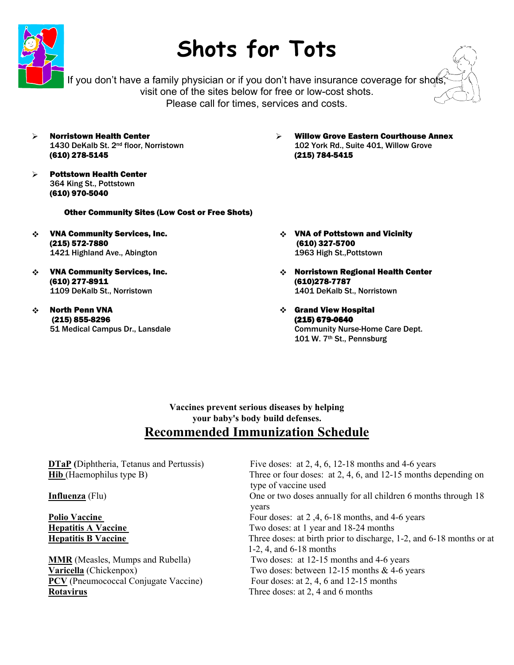

## **Shots for Tots**

If you don't have a family physician or if you don't have insurance coverage for shots visit one of the sites below for free or low-cost shots. Please call for times, services and costs.

- ¾ Norristown Health Center 1430 DeKalb St. 2<sup>nd</sup> floor, Norristown (610) 278-5145
- ¾ Pottstown Health Center 364 King St., Pottstown (610) 970-5040

#### ¾ Willow Grove Eastern Courthouse Annex 102 York Rd., Suite 401, Willow Grove (215) 784-5415

- Other Community Sites (Low Cost or Free Shots)
- VNA Community Services, Inc. (215) 572-7880 1421 Highland Ave., Abington
- VNA Community Services, Inc. (610) 277-8911 1109 DeKalb St., Norristown
- North Penn VNA (215) 855-8296 51 Medical Campus Dr., Lansdale
- VNA of Pottstown and Vicinity (610) 327-5700 1963 High St.,Pottstown
- Norristown Regional Health Center (610)278-7787 1401 DeKalb St., Norristown
- Grand View Hospital (215) 679-0640 Community Nurse-Home Care Dept. 101 W. 7th St., Pennsburg

#### **Vaccines prevent serious diseases by helping your baby's body build defenses. Recommended Immunization Schedule**

**DTaP** (Diphtheria, Tetanus and Pertussis) Five doses: at 2, 4, 6, 12-18 months and 4-6 years **Hib** (Haemophilus type B) Three or four doses: at 2, 4, 6, and 12-15 months depending on type of vaccine used **Influenza** (Flu) **One or two doses annually for all children 6 months through 18** years **y Polio Vaccine Four doses: at 2,4, 6-18 months, and 4-6 years Four doses: at 2, 4, 6-18 months, and 4-6 years Hepatitis A Vaccine Two doses: at 1 year and 18-24 months Hepatitis B Vaccine Three doses: at birth prior to discharge, 1-2, and 6-18 months or at**  1-2, 4, and 6-18 months **MMR** (Measles, Mumps and Rubella) Two doses: at 12-15 months and 4-6 years **Varicella** (Chickenpox) Two doses: between 12-15 months & 4-6 years **PCV** (Pneumococcal Conjugate Vaccine) Four doses: at 2, 4, 6 and 12-15 months **Rotavirus** Three doses: at 2, 4 and 6 months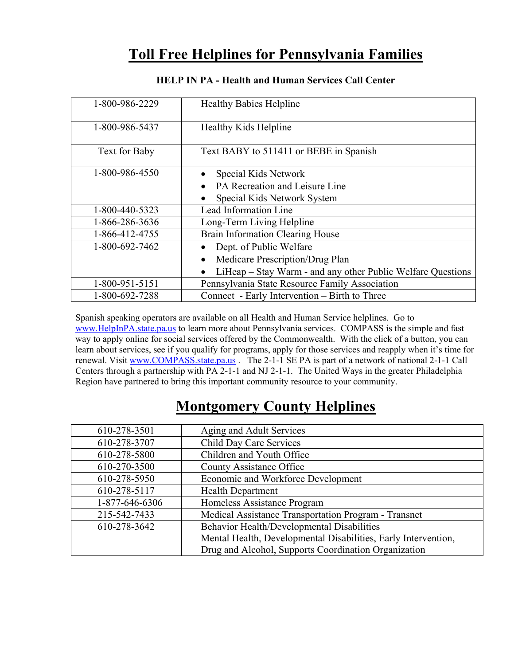## **Toll Free Helplines for Pennsylvania Families**

| 1-800-986-2229 | <b>Healthy Babies Helpline</b>                                           |
|----------------|--------------------------------------------------------------------------|
| 1-800-986-5437 | <b>Healthy Kids Helpline</b>                                             |
| Text for Baby  | Text BABY to 511411 or BEBE in Spanish                                   |
| 1-800-986-4550 | Special Kids Network<br>$\bullet$                                        |
|                | PA Recreation and Leisure Line                                           |
|                | Special Kids Network System                                              |
| 1-800-440-5323 | Lead Information Line                                                    |
| 1-866-286-3636 | Long-Term Living Helpline                                                |
| 1-866-412-4755 | Brain Information Clearing House                                         |
| 1-800-692-7462 | Dept. of Public Welfare                                                  |
|                | Medicare Prescription/Drug Plan<br>$\bullet$                             |
|                | LiHeap – Stay Warm - and any other Public Welfare Questions<br>$\bullet$ |
| 1-800-951-5151 | Pennsylvania State Resource Family Association                           |
| 1-800-692-7288 | Connect - Early Intervention – Birth to Three                            |

#### **HELP IN PA - Health and Human Services Call Center**

Spanish speaking operators are available on all Health and Human Service helplines. Go to [www.HelpInPA.state.pa.us](http://www.helpinpa.state.pa.us/) to learn more about Pennsylvania services. COMPASS is the simple and fast way to apply online for social services offered by the Commonwealth. With the click of a button, you can learn about services, see if you qualify for programs, apply for those services and reapply when it's time for renewal. Visit [www.COMPASS.state.pa.us](http://www.compass.state.pa.us/) . The 2-1-1 SE PA is part of a network of national 2-1-1 Call Centers through a partnership with PA 2-1-1 and NJ 2-1-1. The United Ways in the greater Philadelphia Region have partnered to bring this important community resource to your community.

## **Montgomery County Helplines**

| 610-278-3501   | Aging and Adult Services                                       |
|----------------|----------------------------------------------------------------|
| 610-278-3707   | Child Day Care Services                                        |
| 610-278-5800   | Children and Youth Office                                      |
| 610-270-3500   | <b>County Assistance Office</b>                                |
| 610-278-5950   | Economic and Workforce Development                             |
| 610-278-5117   | <b>Health Department</b>                                       |
| 1-877-646-6306 | Homeless Assistance Program                                    |
| 215-542-7433   | Medical Assistance Transportation Program - Transnet           |
| 610-278-3642   | Behavior Health/Developmental Disabilities                     |
|                | Mental Health, Developmental Disabilities, Early Intervention, |
|                | Drug and Alcohol, Supports Coordination Organization           |